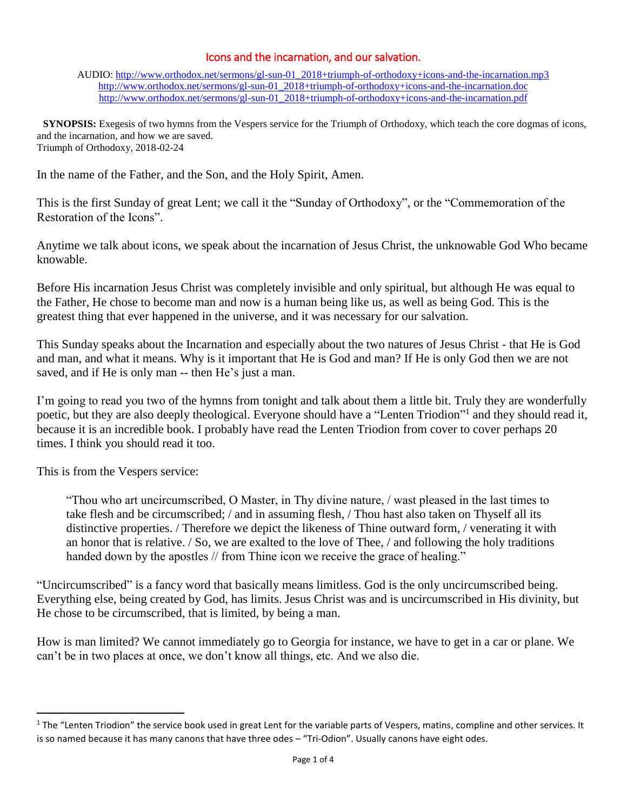## Icons and the incarnation, and our salvation.

AUDIO: [http://www.orthodox.net/sermons/gl-sun-01\\_2018+triumph-of-orthodoxy+icons-and-the-incarnation.mp3](https://www.orthodox.net//sermons/gl-sun-01_2018+triumph-of-orthodoxy+icons-and-the-incarnation.mp3) [http://www.orthodox.net/sermons/gl-sun-01\\_2018+triumph-of-orthodoxy+icons-and-the-incarnation.doc](https://www.orthodox.net//sermons/gl-sun-01_2018+triumph-of-orthodoxy+icons-and-the-incarnation.doc) [http://www.orthodox.net/sermons/gl-sun-01\\_2018+triumph-of-orthodoxy+icons-and-the-incarnation.pdf](https://www.orthodox.net//sermons/gl-sun-01_2018+triumph-of-orthodoxy+icons-and-the-incarnation.pdf)

 **SYNOPSIS:** Exegesis of two hymns from the Vespers service for the Triumph of Orthodoxy, which teach the core dogmas of icons, and the incarnation, and how we are saved. Triumph of Orthodoxy, 2018-02-24

In the name of the Father, and the Son, and the Holy Spirit, Amen.

This is the first Sunday of great Lent; we call it the "Sunday of Orthodoxy", or the "Commemoration of the Restoration of the Icons".

Anytime we talk about icons, we speak about the incarnation of Jesus Christ, the unknowable God Who became knowable.

Before His incarnation Jesus Christ was completely invisible and only spiritual, but although He was equal to the Father, He chose to become man and now is a human being like us, as well as being God. This is the greatest thing that ever happened in the universe, and it was necessary for our salvation.

This Sunday speaks about the Incarnation and especially about the two natures of Jesus Christ - that He is God and man, and what it means. Why is it important that He is God and man? If He is only God then we are not saved, and if He is only man -- then He's just a man.

I'm going to read you two of the hymns from tonight and talk about them a little bit. Truly they are wonderfully poetic, but they are also deeply theological. Everyone should have a "Lenten Triodion"<sup>1</sup> and they should read it, because it is an incredible book. I probably have read the Lenten Triodion from cover to cover perhaps 20 times. I think you should read it too.

This is from the Vespers service:

 $\overline{\phantom{a}}$ 

"Thou who art uncircumscribed, O Master, in Thy divine nature, / wast pleased in the last times to take flesh and be circumscribed; / and in assuming flesh, / Thou hast also taken on Thyself all its distinctive properties. / Therefore we depict the likeness of Thine outward form, / venerating it with an honor that is relative. / So, we are exalted to the love of Thee, / and following the holy traditions handed down by the apostles // from Thine icon we receive the grace of healing."

"Uncircumscribed" is a fancy word that basically means limitless. God is the only uncircumscribed being. Everything else, being created by God, has limits. Jesus Christ was and is uncircumscribed in His divinity, but He chose to be circumscribed, that is limited, by being a man.

How is man limited? We cannot immediately go to Georgia for instance, we have to get in a car or plane. We can't be in two places at once, we don't know all things, etc. And we also die.

<sup>&</sup>lt;sup>1</sup> The "Lenten Triodion" the service book used in great Lent for the variable parts of Vespers, matins, compline and other services. It is so named because it has many canons that have three odes – "Tri-Odion". Usually canons have eight odes.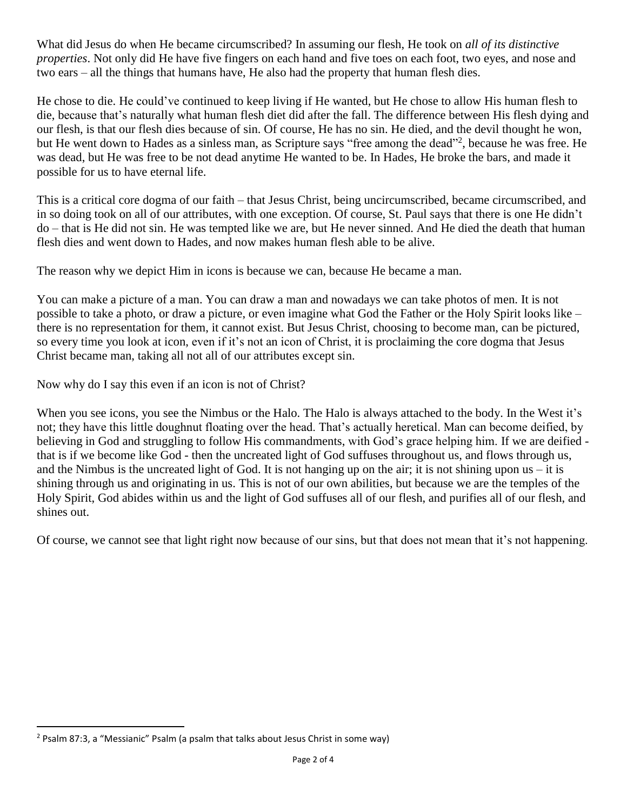What did Jesus do when He became circumscribed? In assuming our flesh, He took on *all of its distinctive properties*. Not only did He have five fingers on each hand and five toes on each foot, two eyes, and nose and two ears – all the things that humans have, He also had the property that human flesh dies.

He chose to die. He could've continued to keep living if He wanted, but He chose to allow His human flesh to die, because that's naturally what human flesh diet did after the fall. The difference between His flesh dying and our flesh, is that our flesh dies because of sin. Of course, He has no sin. He died, and the devil thought he won, but He went down to Hades as a sinless man, as Scripture says "free among the dead"<sup>2</sup>, because he was free. He was dead, but He was free to be not dead anytime He wanted to be. In Hades, He broke the bars, and made it possible for us to have eternal life.

This is a critical core dogma of our faith – that Jesus Christ, being uncircumscribed, became circumscribed, and in so doing took on all of our attributes, with one exception. Of course, St. Paul says that there is one He didn't do – that is He did not sin. He was tempted like we are, but He never sinned. And He died the death that human flesh dies and went down to Hades, and now makes human flesh able to be alive.

The reason why we depict Him in icons is because we can, because He became a man.

You can make a picture of a man. You can draw a man and nowadays we can take photos of men. It is not possible to take a photo, or draw a picture, or even imagine what God the Father or the Holy Spirit looks like – there is no representation for them, it cannot exist. But Jesus Christ, choosing to become man, can be pictured, so every time you look at icon, even if it's not an icon of Christ, it is proclaiming the core dogma that Jesus Christ became man, taking all not all of our attributes except sin.

Now why do I say this even if an icon is not of Christ?

When you see icons, you see the Nimbus or the Halo. The Halo is always attached to the body. In the West it's not; they have this little doughnut floating over the head. That's actually heretical. Man can become deified, by believing in God and struggling to follow His commandments, with God's grace helping him. If we are deified that is if we become like God - then the uncreated light of God suffuses throughout us, and flows through us, and the Nimbus is the uncreated light of God. It is not hanging up on the air; it is not shining upon us  $-$  it is shining through us and originating in us. This is not of our own abilities, but because we are the temples of the Holy Spirit, God abides within us and the light of God suffuses all of our flesh, and purifies all of our flesh, and shines out.

Of course, we cannot see that light right now because of our sins, but that does not mean that it's not happening.

 $\overline{a}$ 

<sup>&</sup>lt;sup>2</sup> Psalm 87:3, a "Messianic" Psalm (a psalm that talks about Jesus Christ in some way)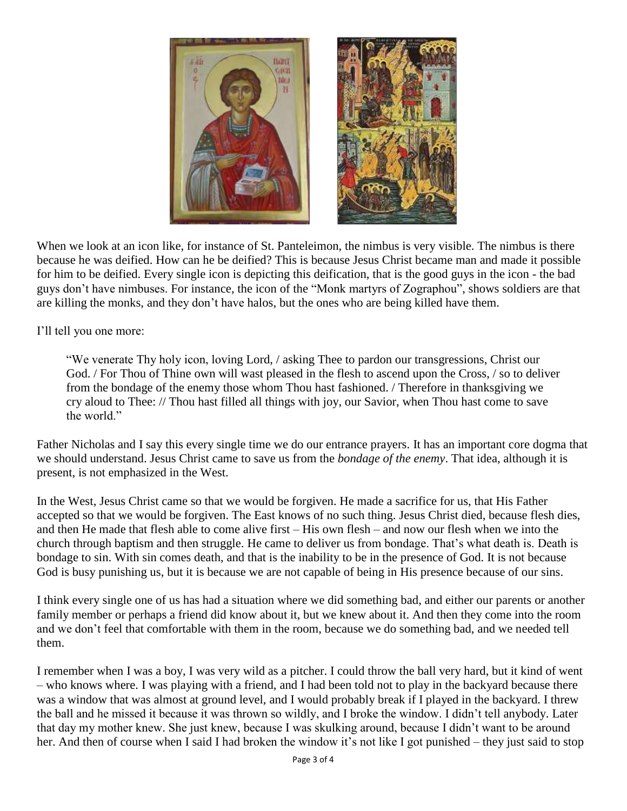

When we look at an icon like, for instance of St. Panteleimon, the nimbus is very visible. The nimbus is there because he was deified. How can he be deified? This is because Jesus Christ became man and made it possible for him to be deified. Every single icon is depicting this deification, that is the good guys in the icon - the bad guys don't have nimbuses. For instance, the icon of the "Monk martyrs of Zographou", shows soldiers are that are killing the monks, and they don't have halos, but the ones who are being killed have them.

I'll tell you one more:

"We venerate Thy holy icon, loving Lord, / asking Thee to pardon our transgressions, Christ our God. / For Thou of Thine own will wast pleased in the flesh to ascend upon the Cross, / so to deliver from the bondage of the enemy those whom Thou hast fashioned. / Therefore in thanksgiving we cry aloud to Thee: // Thou hast filled all things with joy, our Savior, when Thou hast come to save the world."

Father Nicholas and I say this every single time we do our entrance prayers. It has an important core dogma that we should understand. Jesus Christ came to save us from the *bondage of the enemy*. That idea, although it is present, is not emphasized in the West.

In the West, Jesus Christ came so that we would be forgiven. He made a sacrifice for us, that His Father accepted so that we would be forgiven. The East knows of no such thing. Jesus Christ died, because flesh dies, and then He made that flesh able to come alive first – His own flesh – and now our flesh when we into the church through baptism and then struggle. He came to deliver us from bondage. That's what death is. Death is bondage to sin. With sin comes death, and that is the inability to be in the presence of God. It is not because God is busy punishing us, but it is because we are not capable of being in His presence because of our sins.

I think every single one of us has had a situation where we did something bad, and either our parents or another family member or perhaps a friend did know about it, but we knew about it. And then they come into the room and we don't feel that comfortable with them in the room, because we do something bad, and we needed tell them.

I remember when I was a boy, I was very wild as a pitcher. I could throw the ball very hard, but it kind of went – who knows where. I was playing with a friend, and I had been told not to play in the backyard because there was a window that was almost at ground level, and I would probably break if I played in the backyard. I threw the ball and he missed it because it was thrown so wildly, and I broke the window. I didn't tell anybody. Later that day my mother knew. She just knew, because I was skulking around, because I didn't want to be around her. And then of course when I said I had broken the window it's not like I got punished – they just said to stop